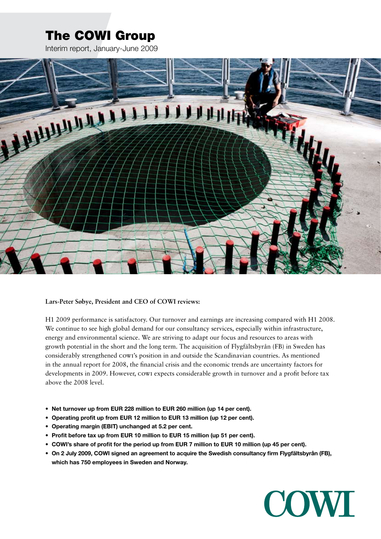# The COWI Group

Interim report, January-June 2009



# **Lars-Peter Søbye, President and CEO of COWI reviews:**

H1 2009 performance is satisfactory. Our turnover and earnings are increasing compared with H1 2008. We continue to see high global demand for our consultancy services, especially within infrastructure, energy and environmental science. We are striving to adapt our focus and resources to areas with growth potential in the short and the long term. The acquisition of Flygfältsbyrån (FB) in Sweden has considerably strengthened cowi's position in and outside the Scandinavian countries. As mentioned in the annual report for 2008, the financial crisis and the economic trends are uncertainty factors for developments in 2009. However, cowi expects considerable growth in turnover and a profit before tax above the 2008 level.

- **• Net turnover up from EUR 228 million to EUR 260 million (up 14 per cent).**
- **• Operating profit up from EUR 12 million to EUR 13 million (up 12 per cent).**
- **• Operating margin (EBIT) unchanged at 5.2 per cent.**
- **• Profit before tax up from EUR 10 million to EUR 15 million (up 51 per cent).**
- COWI's share of profit for the period up from EUR 7 million to EUR 10 million (up 45 per cent).
- **• On 2 July 2009, COWI signed an agreement to acquire the Swedish consultancy firm Flygfältsbyrån (FB), which has 750 employees in Sweden and Norway.**

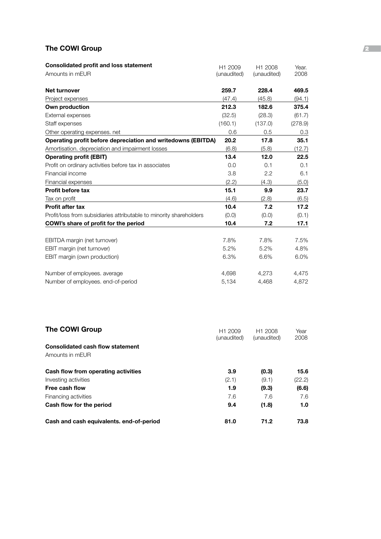# **The COWI Group**  $\sqrt{2}$

| <b>Consolidated profit and loss statement</b>                       | H1 2009                | H1 2008                            | Year.        |
|---------------------------------------------------------------------|------------------------|------------------------------------|--------------|
| Amounts in mEUR                                                     | (unaudited)            | (unaudited)                        | 2008         |
| Net turnover                                                        | 259.7                  | 228.4                              | 469.5        |
| Project expenses                                                    | (47.4)                 | (45.8)                             | (94.1)       |
| Own production                                                      | 212.3                  | 182.6                              | 375.4        |
| External expenses                                                   | (32.5)                 | (28.3)                             | (61.7)       |
| Staff expenses                                                      | (160.1)                | (137.0)                            | (278.9)      |
| Other operating expenses. net                                       | 0.6                    | 0.5                                | 0.3          |
| Operating profit before depreciation and writedowns (EBITDA)        | 20.2                   | 17.8                               | 35.1         |
| Amortisation. depreciation and impairment losses                    | (6.8)                  | (5.8)                              | (12.7)       |
| <b>Operating profit (EBIT)</b>                                      | 13.4                   | 12.0                               | 22.5         |
| Profit on ordinary activities before tax in associates              | 0.0                    | 0.1                                | 0.1          |
| Financial income                                                    | 3.8                    | 2.2                                | 6.1          |
| Financial expenses                                                  | (2.2)                  | (4.3)                              | (5.0)        |
| <b>Profit before tax</b>                                            | 15.1                   | 9.9                                | 23.7         |
| Tax on profit                                                       | (4.6)                  | (2.8)                              | (6.5)        |
| <b>Profit after tax</b>                                             | 10.4                   | 7.2                                | 17.2         |
| Profit/loss from subsidiaries attributable to minority shareholders | (0.0)                  | (0.0)                              | (0.1)        |
| COWI's share of profit for the period                               | 10.4                   | 7.2                                | 17.1         |
| EBITDA margin (net turnover)                                        | 7.8%                   | 7.8%                               | 7.5%         |
| EBIT margin (net turnover)                                          | 5.2%                   | 5.2%                               | 4.8%         |
| EBIT margin (own production)                                        | 6.3%                   | 6.6%                               | 6.0%         |
| Number of employees. average                                        | 4,698                  | 4,273                              | 4,475        |
| Number of employees. end-of-period                                  | 5,134                  | 4,468                              | 4,872        |
|                                                                     |                        |                                    |              |
| <b>The COWI Group</b>                                               | H1 2009<br>(unaudited) | H <sub>1</sub> 2008<br>(unaudited) | Year<br>2008 |
| <b>Consolidated cash flow statement</b><br>Amounts in mEUR          |                        |                                    |              |
| Cash flow from operating activities                                 | 3.9                    | (0.3)                              | 15.6         |

Investing activities (2.1) (9.1) (22.2) **Free cash flow 1.9 (6.6) (6.6)** Financing activities T.6 7.6 7.6 7.6 **Cash flow for the period 1.0 1.0 1.0 1.0 1.0 1.0 Cash and cash equivalents. end-of-period 81.0 71.2 73.8**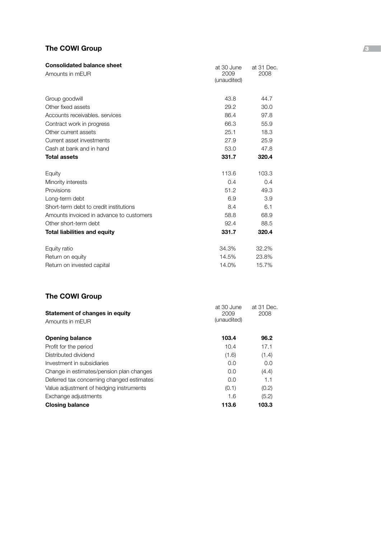# **The COWI Group by a strategies of the COWI Group** *s*

| <b>Consolidated balance sheet</b>        | at 30 June          | at 31 Dec. |
|------------------------------------------|---------------------|------------|
| Amounts in mEUR                          | 2009<br>(unaudited) | 2008       |
| Group goodwill                           | 43.8                | 44.7       |
| Other fixed assets                       | 29.2                | 30.0       |
| Accounts receivables, services           | 86.4                | 97.8       |
| Contract work in progress                | 66.3                | 55.9       |
| Other current assets                     | 25.1                | 18.3       |
| Current asset investments                | 27.9                | 25.9       |
| Cash at bank and in hand                 | 53.0                | 47.8       |
| <b>Total assets</b>                      | 331.7               | 320.4      |
| Equity                                   | 113.6               | 103.3      |
| Minority interests                       | 0.4                 | 0.4        |
| Provisions                               | 51.2                | 49.3       |
| Long-term debt                           | 6.9                 | 3.9        |
| Short-term debt to credit institutions   | 8.4                 | 6.1        |
| Amounts invoiced in advance to customers | 58.8                | 68.9       |
| Other short-term debt                    | 92.4                | 88.5       |
| <b>Total liabilities and equity</b>      | 331.7               | 320.4      |
| Equity ratio                             | 34.3%               | 32.2%      |
| Return on equity                         | 14.5%               | 23.8%      |
| Return on invested capital               | 14.0%               | 15.7%      |
|                                          |                     |            |

# **The COWI Group**

| Statement of changes in equity            | at 30 June<br>2009 | at 31 Dec.<br>2008 |
|-------------------------------------------|--------------------|--------------------|
| Amounts in mEUR                           | (unaudited)        |                    |
| <b>Opening balance</b>                    | 103.4              | 96.2               |
| Profit for the period                     | 10.4               | 17.1               |
| Distributed dividend                      | (1.6)              | (1.4)              |
| Investment in subsidiaries                | 0.0                | 0.0                |
| Change in estimates/pension plan changes  | 0.0                | (4.4)              |
| Deferred tax concerning changed estimates | 0.0                | 1.1                |
| Value adjustment of hedging instruments   | (0.1)              | (0.2)              |
| Exchange adjustments                      | 1.6                | (5.2)              |
| <b>Closing balance</b>                    | 113.6              | 103.3              |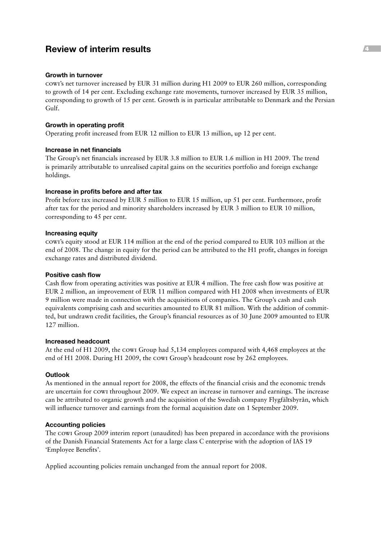# **Review of interim results** <sup>4</sup>

## **Growth in turnover**

cowi's net turnover increased by EUR 31 million during H1 2009 to EUR 260 million, corresponding to growth of 14 per cent. Excluding exchange rate movements, turnover increased by EUR 35 million, corresponding to growth of 15 per cent. Growth is in particular attributable to Denmark and the Persian Gulf.

## **Growth in operating profit**

Operating profit increased from EUR 12 million to EUR 13 million, up 12 per cent.

## **Increase in net financials**

The Group's net financials increased by EUR 3.8 million to EUR 1.6 million in H1 2009. The trend is primarily attributable to unrealised capital gains on the securities portfolio and foreign exchange holdings.

## **Increase in profits before and after tax**

Profit before tax increased by EUR 5 million to EUR 15 million, up 51 per cent. Furthermore, profit after tax for the period and minority shareholders increased by EUR 3 million to EUR 10 million, corresponding to 45 per cent.

## **Increasing equity**

cowi's equity stood at EUR 114 million at the end of the period compared to EUR 103 million at the end of 2008. The change in equity for the period can be attributed to the H1 profit, changes in foreign exchange rates and distributed dividend.

# **Positive cash flow**

Cash flow from operating activities was positive at EUR 4 million. The free cash flow was positive at EUR 2 million, an improvement of EUR 11 million compared with H1 2008 when investments of EUR 9 million were made in connection with the acquisitions of companies. The Group's cash and cash equivalents comprising cash and securities amounted to EUR 81 million. With the addition of committed, but undrawn credit facilities, the Group's financial resources as of 30 June 2009 amounted to EUR 127 million.

### **Increased headcount**

At the end of H1 2009, the cowi Group had 5,134 employees compared with 4,468 employees at the end of H1 2008. During H1 2009, the cowi Group's headcount rose by 262 employees.

# **Outlook**

As mentioned in the annual report for 2008, the effects of the financial crisis and the economic trends are uncertain for cowi throughout 2009. We expect an increase in turnover and earnings. The increase can be attributed to organic growth and the acquisition of the Swedish company Flygfältsbyrån, which will influence turnover and earnings from the formal acquisition date on 1 September 2009.

### **Accounting policies**

The cowi Group 2009 interim report (unaudited) has been prepared in accordance with the provisions of the Danish Financial Statements Act for a large class C enterprise with the adoption of IAS 19 'Employee Benefits'.

Applied accounting policies remain unchanged from the annual report for 2008.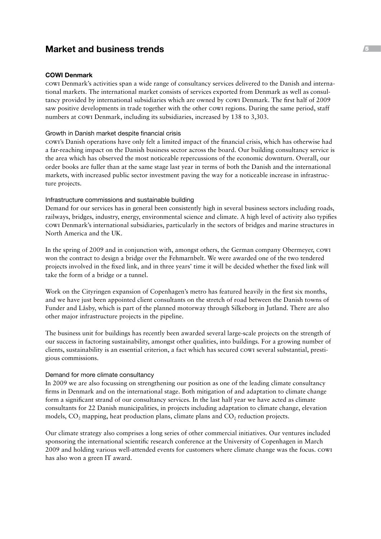# **Market and business trends** <sup>5</sup>

### **COWI Denmark**

cowi Denmark's activities span a wide range of consultancy services delivered to the Danish and international markets. The international market consists of services exported from Denmark as well as consultancy provided by international subsidiaries which are owned by cowi Denmark. The first half of 2009 saw positive developments in trade together with the other cowi regions. During the same period, staff numbers at cowi Denmark, including its subsidiaries, increased by 138 to 3,303.

#### Growth in Danish market despite financial crisis

cowi's Danish operations have only felt a limited impact of the financial crisis, which has otherwise had a far-reaching impact on the Danish business sector across the board. Our building consultancy service is the area which has observed the most noticeable repercussions of the economic downturn. Overall, our order books are fuller than at the same stage last year in terms of both the Danish and the international markets, with increased public sector investment paving the way for a noticeable increase in infrastructure projects.

#### Infrastructure commissions and sustainable building

Demand for our services has in general been consistently high in several business sectors including roads, railways, bridges, industry, energy, environmental science and climate. A high level of activity also typifies cowi Denmark's international subsidiaries, particularly in the sectors of bridges and marine structures in North America and the UK.

In the spring of 2009 and in conjunction with, amongst others, the German company Obermeyer, cowi won the contract to design a bridge over the Fehmarnbelt. We were awarded one of the two tendered projects involved in the fixed link, and in three years' time it will be decided whether the fixed link will take the form of a bridge or a tunnel.

Work on the Cityringen expansion of Copenhagen's metro has featured heavily in the first six months, and we have just been appointed client consultants on the stretch of road between the Danish towns of Funder and Låsby, which is part of the planned motorway through Silkeborg in Jutland. There are also other major infrastructure projects in the pipeline.

The business unit for buildings has recently been awarded several large-scale projects on the strength of our success in factoring sustainability, amongst other qualities, into buildings. For a growing number of clients, sustainability is an essential criterion, a fact which has secured cowi several substantial, prestigious commissions.

#### Demand for more climate consultancy

In 2009 we are also focussing on strengthening our position as one of the leading climate consultancy firms in Denmark and on the international stage. Both mitigation of and adaptation to climate change form a significant strand of our consultancy services. In the last half year we have acted as climate consultants for 22 Danish municipalities, in projects including adaptation to climate change, elevation models,  $CO<sub>2</sub>$  mapping, heat production plans, climate plans and  $CO<sub>2</sub>$  reduction projects.

Our climate strategy also comprises a long series of other commercial initiatives. Our ventures included sponsoring the international scientific research conference at the University of Copenhagen in March 2009 and holding various well-attended events for customers where climate change was the focus. cowi has also won a green IT award.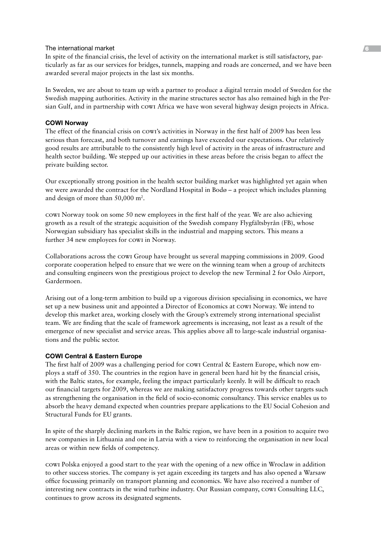#### The international market  $\overline{6}$

In spite of the financial crisis, the level of activity on the international market is still satisfactory, particularly as far as our services for bridges, tunnels, mapping and roads are concerned, and we have been awarded several major projects in the last six months.

In Sweden, we are about to team up with a partner to produce a digital terrain model of Sweden for the Swedish mapping authorities. Activity in the marine structures sector has also remained high in the Persian Gulf, and in partnership with cowi Africa we have won several highway design projects in Africa.

# **COWI Norway**

The effect of the financial crisis on cowi's activities in Norway in the first half of 2009 has been less serious than forecast, and both turnover and earnings have exceeded our expectations. Our relatively good results are attributable to the consistently high level of activity in the areas of infrastructure and health sector building. We stepped up our activities in these areas before the crisis began to affect the private building sector.

Our exceptionally strong position in the health sector building market was highlighted yet again when we were awarded the contract for the Nordland Hospital in Bodø – a project which includes planning and design of more than 50,000 m2 .

cowi Norway took on some 50 new employees in the first half of the year. We are also achieving growth as a result of the strategic acquisition of the Swedish company Flygfältsbyrån (FB), whose Norwegian subsidiary has specialist skills in the industrial and mapping sectors. This means a further 34 new employees for cowi in Norway.

Collaborations across the cowi Group have brought us several mapping commissions in 2009. Good corporate cooperation helped to ensure that we were on the winning team when a group of architects and consulting engineers won the prestigious project to develop the new Terminal 2 for Oslo Airport, Gardermoen.

Arising out of a long-term ambition to build up a vigorous division specialising in economics, we have set up a new business unit and appointed a Director of Economics at cowi Norway. We intend to develop this market area, working closely with the Group's extremely strong international specialist team. We are finding that the scale of framework agreements is increasing, not least as a result of the emergence of new specialist and service areas. This applies above all to large-scale industrial organisations and the public sector.

#### **COWI Central & Eastern Europe**

The first half of 2009 was a challenging period for cowi Central & Eastern Europe, which now employs a staff of 350. The countries in the region have in general been hard hit by the financial crisis, with the Baltic states, for example, feeling the impact particularly keenly. It will be difficult to reach our financial targets for 2009, whereas we are making satisfactory progress towards other targets such as strengthening the organisation in the field of socio-economic consultancy. This service enables us to absorb the heavy demand expected when countries prepare applications to the EU Social Cohesion and Structural Funds for EU grants.

In spite of the sharply declining markets in the Baltic region, we have been in a position to acquire two new companies in Lithuania and one in Latvia with a view to reinforcing the organisation in new local areas or within new fields of competency.

cowi Polska enjoyed a good start to the year with the opening of a new office in Wroclaw in addition to other success stories. The company is yet again exceeding its targets and has also opened a Warsaw office focussing primarily on transport planning and economics. We have also received a number of interesting new contracts in the wind turbine industry. Our Russian company, cowi Consulting LLC, continues to grow across its designated segments.